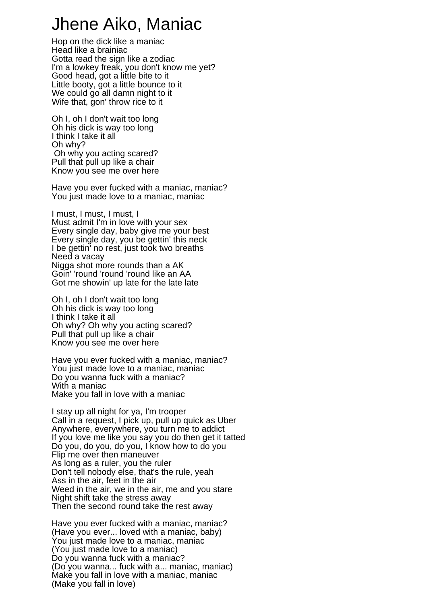## Jhene Aiko, Maniac

Hop on the dick like a maniac Head like a brainiac Gotta read the sign like a zodiac I'm a lowkey freak, you don't know me yet? Good head, got a little bite to it Little booty, got a little bounce to it We could go all damn night to it Wife that, gon' throw rice to it

Oh I, oh I don't wait too long Oh his dick is way too long I think I take it all Oh why? Oh why you acting scared? Pull that pull up like a chair Know you see me over here

Have you ever fucked with a maniac, maniac? You just made love to a maniac, maniac

I must, I must, I must, I Must admit I'm in love with your sex Every single day, baby give me your best Every single day, you be gettin' this neck I be gettin' no rest, just took two breaths Need a vacay Nigga shot more rounds than a AK Goin' 'round 'round 'round like an AA Got me showin' up late for the late late

Oh I, oh I don't wait too long Oh his dick is way too long I think I take it all Oh why? Oh why you acting scared? Pull that pull up like a chair Know you see me over here

Have you ever fucked with a maniac, maniac? You just made love to a maniac, maniac Do you wanna fuck with a maniac? With a maniac Make you fall in love with a maniac

I stay up all night for ya, I'm trooper Call in a request, I pick up, pull up quick as Uber Anywhere, everywhere, you turn me to addict If you love me like you say you do then get it tatted Do you, do you, do you, I know how to do you Flip me over then maneuver As long as a ruler, you the ruler Don't tell nobody else, that's the rule, yeah Ass in the air, feet in the air Weed in the air, we in the air, me and you stare Night shift take the stress away Then the second round take the rest away

Have you ever fucked with a maniac, maniac? (Have you ever... loved with a maniac, baby) You just made love to a maniac, maniac (You just made love to a maniac) Do you wanna fuck with a maniac? (Do you wanna... fuck with a... maniac, maniac) Make you fall in love with a maniac, maniac (Make you fall in love)